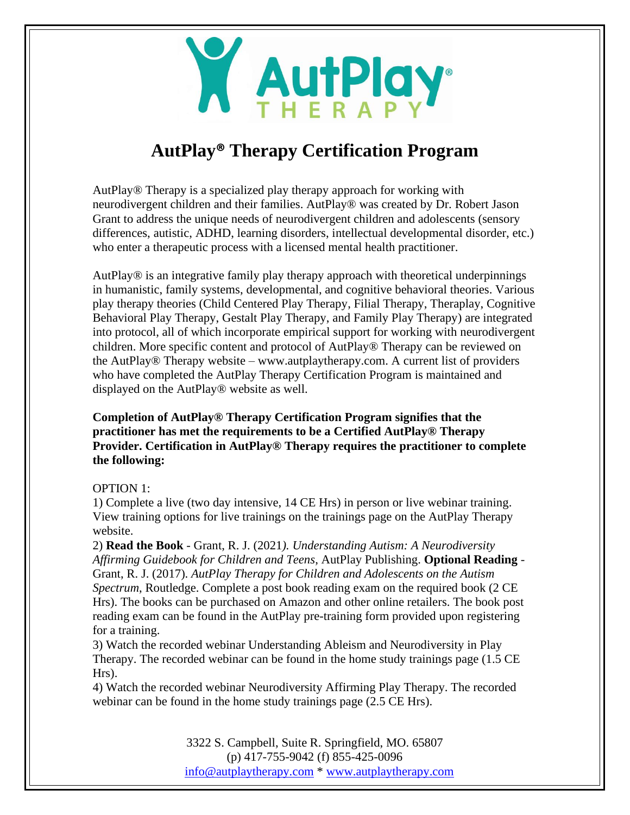

# **AutPlay® Therapy Certification Program**

AutPlay® Therapy is a specialized play therapy approach for working with neurodivergent children and their families. AutPlay® was created by Dr. Robert Jason Grant to address the unique needs of neurodivergent children and adolescents (sensory differences, autistic, ADHD, learning disorders, intellectual developmental disorder, etc.) who enter a therapeutic process with a licensed mental health practitioner.

AutPlay® is an integrative family play therapy approach with theoretical underpinnings in humanistic, family systems, developmental, and cognitive behavioral theories. Various play therapy theories (Child Centered Play Therapy, Filial Therapy, Theraplay, Cognitive Behavioral Play Therapy, Gestalt Play Therapy, and Family Play Therapy) are integrated into protocol, all of which incorporate empirical support for working with neurodivergent children. More specific content and protocol of AutPlay® Therapy can be reviewed on the AutPlay® Therapy website – www.autplaytherapy.com. A current list of providers who have completed the AutPlay Therapy Certification Program is maintained and displayed on the AutPlay® website as well.

**Completion of AutPlay® Therapy Certification Program signifies that the practitioner has met the requirements to be a Certified AutPlay® Therapy Provider. Certification in AutPlay® Therapy requires the practitioner to complete the following:**

# OPTION 1:

1) Complete a live (two day intensive, 14 CE Hrs) in person or live webinar training. View training options for live trainings on the trainings page on the AutPlay Therapy website.

2) **Read the Book** - Grant, R. J. (2021*). Understanding Autism: A Neurodiversity Affirming Guidebook for Children and Teens*, AutPlay Publishing. **Optional Reading** - Grant, R. J. (2017). *AutPlay Therapy for Children and Adolescents on the Autism Spectrum*, Routledge. Complete a post book reading exam on the required book (2 CE Hrs). The books can be purchased on Amazon and other online retailers. The book post reading exam can be found in the AutPlay pre-training form provided upon registering for a training.

3) Watch the recorded webinar Understanding Ableism and Neurodiversity in Play Therapy. The recorded webinar can be found in the home study trainings page (1.5 CE Hrs).

4) Watch the recorded webinar Neurodiversity Affirming Play Therapy. The recorded webinar can be found in the home study trainings page (2.5 CE Hrs).

> 3322 S. Campbell, Suite R. Springfield, MO. 65807 (p) 417-755-9042 (f) 855-425-0096 [info@autplaytherapy.com](mailto:info@autplaytherapy.com) \* [www.autplaytherapy.com](http://www.autplaytherapy.com/)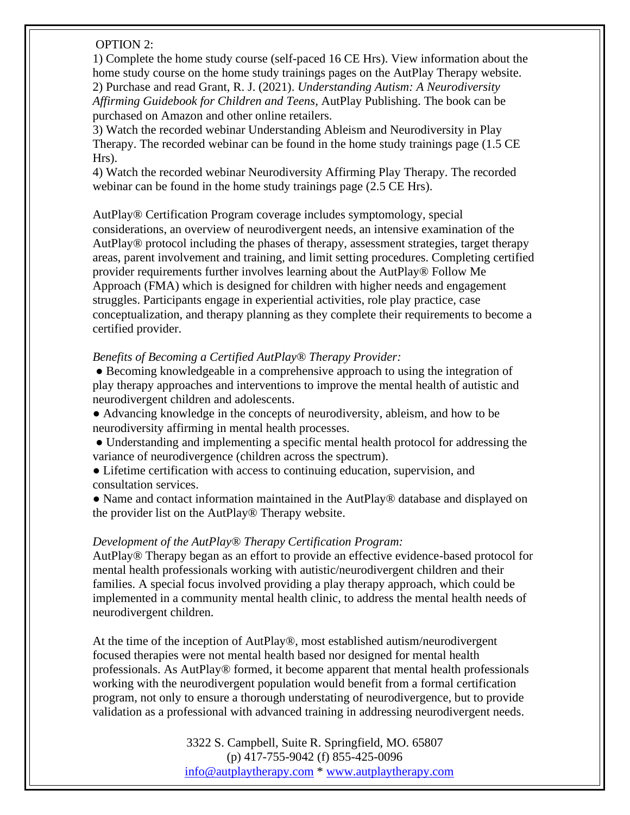# OPTION 2:

1) Complete the home study course (self-paced 16 CE Hrs). View information about the home study course on the home study trainings pages on the AutPlay Therapy website. 2) Purchase and read Grant, R. J. (2021). *Understanding Autism: A Neurodiversity Affirming Guidebook for Children and Teens*, AutPlay Publishing. The book can be purchased on Amazon and other online retailers.

3) Watch the recorded webinar Understanding Ableism and Neurodiversity in Play Therapy. The recorded webinar can be found in the home study trainings page (1.5 CE Hrs).

4) Watch the recorded webinar Neurodiversity Affirming Play Therapy. The recorded webinar can be found in the home study trainings page (2.5 CE Hrs).

AutPlay® Certification Program coverage includes symptomology, special considerations, an overview of neurodivergent needs, an intensive examination of the AutPlay® protocol including the phases of therapy, assessment strategies, target therapy areas, parent involvement and training, and limit setting procedures. Completing certified provider requirements further involves learning about the AutPlay® Follow Me Approach (FMA) which is designed for children with higher needs and engagement struggles. Participants engage in experiential activities, role play practice, case conceptualization, and therapy planning as they complete their requirements to become a certified provider.

#### *Benefits of Becoming a Certified AutPlay® Therapy Provider:*

● Becoming knowledgeable in a comprehensive approach to using the integration of play therapy approaches and interventions to improve the mental health of autistic and neurodivergent children and adolescents.

● Advancing knowledge in the concepts of neurodiversity, ableism, and how to be neurodiversity affirming in mental health processes.

- Understanding and implementing a specific mental health protocol for addressing the variance of neurodivergence (children across the spectrum).
- Lifetime certification with access to continuing education, supervision, and consultation services.
- Name and contact information maintained in the AutPlay® database and displayed on the provider list on the AutPlay® Therapy website.

# *Development of the AutPlay® Therapy Certification Program:*

AutPlay® Therapy began as an effort to provide an effective evidence-based protocol for mental health professionals working with autistic/neurodivergent children and their families. A special focus involved providing a play therapy approach, which could be implemented in a community mental health clinic, to address the mental health needs of neurodivergent children.

At the time of the inception of AutPlay®, most established autism/neurodivergent focused therapies were not mental health based nor designed for mental health professionals. As AutPlay® formed, it become apparent that mental health professionals working with the neurodivergent population would benefit from a formal certification program, not only to ensure a thorough understating of neurodivergence, but to provide validation as a professional with advanced training in addressing neurodivergent needs.

> 3322 S. Campbell, Suite R. Springfield, MO. 65807 (p) 417-755-9042 (f) 855-425-0096 [info@autplaytherapy.com](mailto:info@autplaytherapy.com) \* [www.autplaytherapy.com](http://www.autplaytherapy.com/)